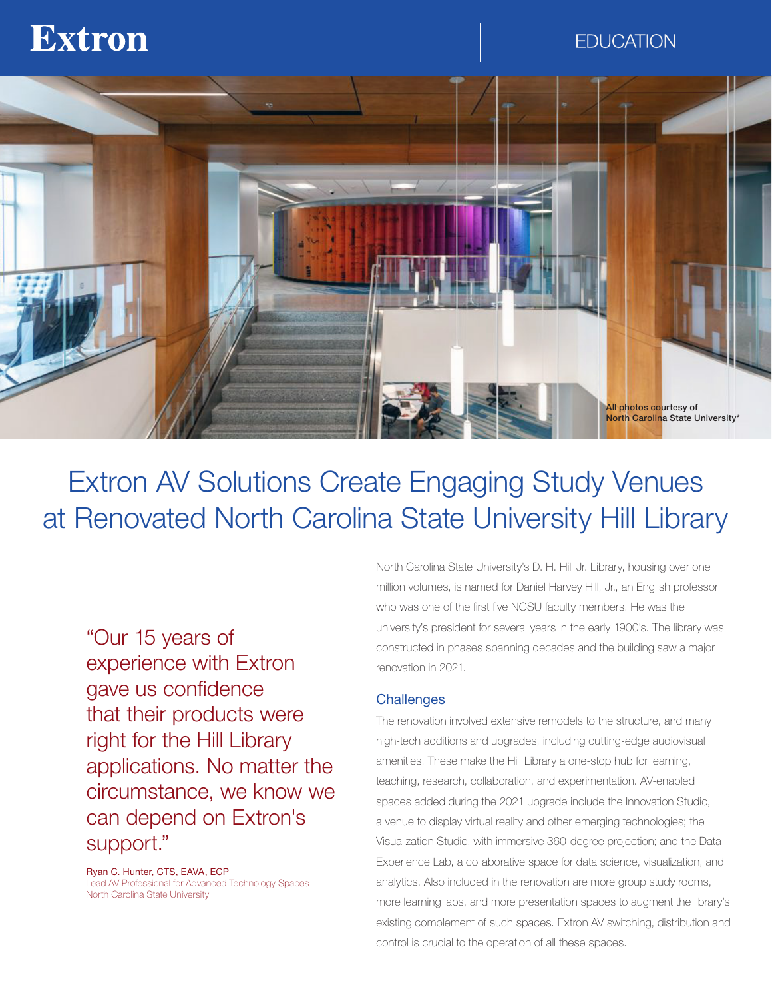# **Extron**

## **EDUCATION**



# Extron AV Solutions Create Engaging Study Venues at Renovated North Carolina State University Hill Library

"Our 15 years of experience with Extron gave us confidence that their products were right for the Hill Library applications. No matter the circumstance, we know we can depend on Extron's support."

Ryan C. Hunter, CTS, EAVA, ECP Lead AV Professional for Advanced Technology Spaces North Carolina State University

North Carolina State University's D. H. Hill Jr. Library, housing over one million volumes, is named for Daniel Harvey Hill, Jr., an English professor who was one of the first five NCSU faculty members. He was the university's president for several years in the early 1900's. The library was constructed in phases spanning decades and the building saw a major renovation in 2021.

#### **Challenges**

The renovation involved extensive remodels to the structure, and many high-tech additions and upgrades, including cutting-edge audiovisual amenities. These make the Hill Library a one-stop hub for learning, teaching, research, collaboration, and experimentation. AV-enabled spaces added during the 2021 upgrade include the Innovation Studio, a venue to display virtual reality and other emerging technologies; the Visualization Studio, with immersive 360-degree projection; and the Data Experience Lab, a collaborative space for data science, visualization, and analytics. Also included in the renovation are more group study rooms, more learning labs, and more presentation spaces to augment the library's existing complement of such spaces. Extron AV switching, distribution and control is crucial to the operation of all these spaces.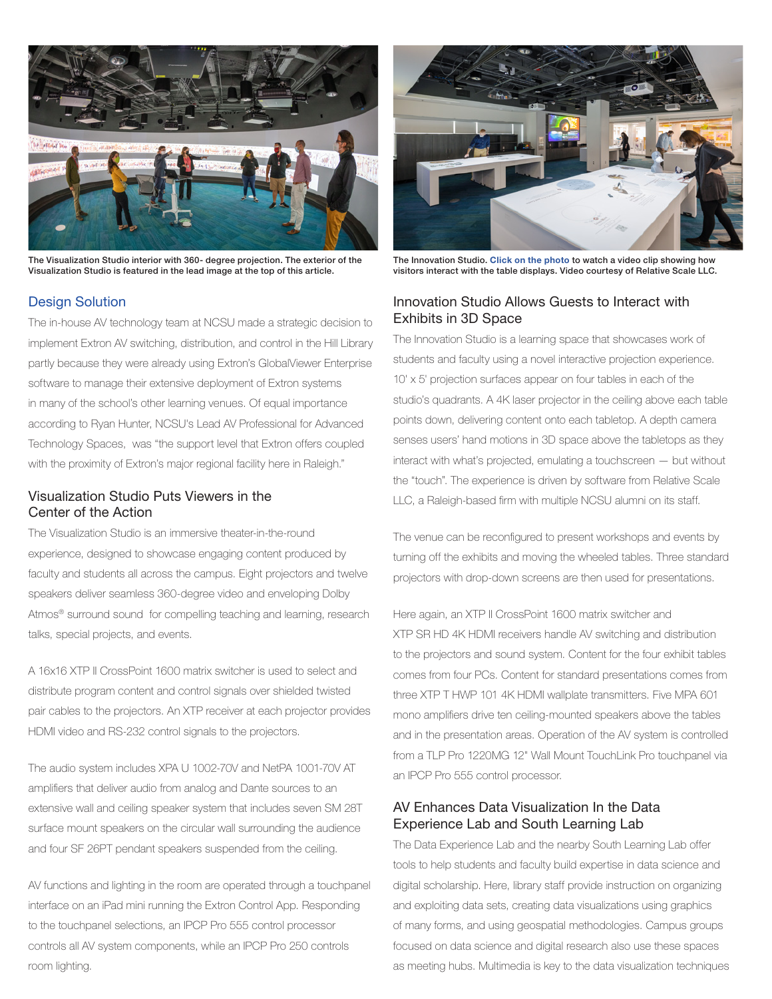

The Visualization Studio interior with 360- degree projection. The exterior of the Visualization Studio is featured in the lead image at the top of this article.

### Design Solution

The in-house AV technology team at NCSU made a strategic decision to implement Extron AV switching, distribution, and control in the Hill Library partly because they were already using Extron's GlobalViewer Enterprise software to manage their extensive deployment of Extron systems in many of the school's other learning venues. Of equal importance according to Ryan Hunter, NCSU's Lead AV Professional for Advanced Technology Spaces, was "the support level that Extron offers coupled with the proximity of Extron's major regional facility here in Raleigh."

### Visualization Studio Puts Viewers in the Center of the Action

The Visualization Studio is an immersive theater-in-the-round experience, designed to showcase engaging content produced by faculty and students all across the campus. Eight projectors and twelve speakers deliver seamless 360-degree video and enveloping Dolby Atmos<sup>®</sup> surround sound for compelling teaching and learning, research talks, special projects, and events.

A 16x16 XTP II CrossPoint 1600 matrix switcher is used to select and distribute program content and control signals over shielded twisted pair cables to the projectors. An XTP receiver at each projector provides HDMI video and RS-232 control signals to the projectors.

The audio system includes XPA U 1002-70V and NetPA 1001-70V AT amplifiers that deliver audio from analog and Dante sources to an extensive wall and ceiling speaker system that includes seven SM 28T surface mount speakers on the circular wall surrounding the audience and four SF 26PT pendant speakers suspended from the ceiling.

AV functions and lighting in the room are operated through a touchpanel interface on an iPad mini running the Extron Control App. Responding to the touchpanel selections, an IPCP Pro 555 control processor controls all AV system components, while an IPCP Pro 250 controls room lighting.



The Innovation Studio. [Click on the photo](https://www.extron.com/NCStateUniversityVideo) to watch a video clip showing how visitors interact with the table displays. Video courtesy of Relative Scale LLC.

#### Innovation Studio Allows Guests to Interact with Exhibits in 3D Space

The Innovation Studio is a learning space that showcases work of students and faculty using a novel interactive projection experience. 10' x 5' projection surfaces appear on four tables in each of the studio's quadrants. A 4K laser projector in the ceiling above each table points down, delivering content onto each tabletop. A depth camera senses users' hand motions in 3D space above the tabletops as they interact with what's projected, emulating a touchscreen — but without the "touch". The experience is driven by software from Relative Scale LLC, a Raleigh-based firm with multiple NCSU alumni on its staff.

The venue can be reconfigured to present workshops and events by turning off the exhibits and moving the wheeled tables. Three standard projectors with drop-down screens are then used for presentations.

Here again, an XTP II CrossPoint 1600 matrix switcher and XTP SR HD 4K HDMI receivers handle AV switching and distribution to the projectors and sound system. Content for the four exhibit tables comes from four PCs. Content for standard presentations comes from three XTP T HWP 101 4K HDMI wallplate transmitters. Five MPA 601 mono amplifiers drive ten ceiling-mounted speakers above the tables and in the presentation areas. Operation of the AV system is controlled from a TLP Pro 1220MG 12" Wall Mount TouchLink Pro touchpanel via an IPCP Pro 555 control processor.

### AV Enhances Data Visualization In the Data Experience Lab and South Learning Lab

The Data Experience Lab and the nearby South Learning Lab offer tools to help students and faculty build expertise in data science and digital scholarship. Here, library staff provide instruction on organizing and exploiting data sets, creating data visualizations using graphics of many forms, and using geospatial methodologies. Campus groups focused on data science and digital research also use these spaces as meeting hubs. Multimedia is key to the data visualization techniques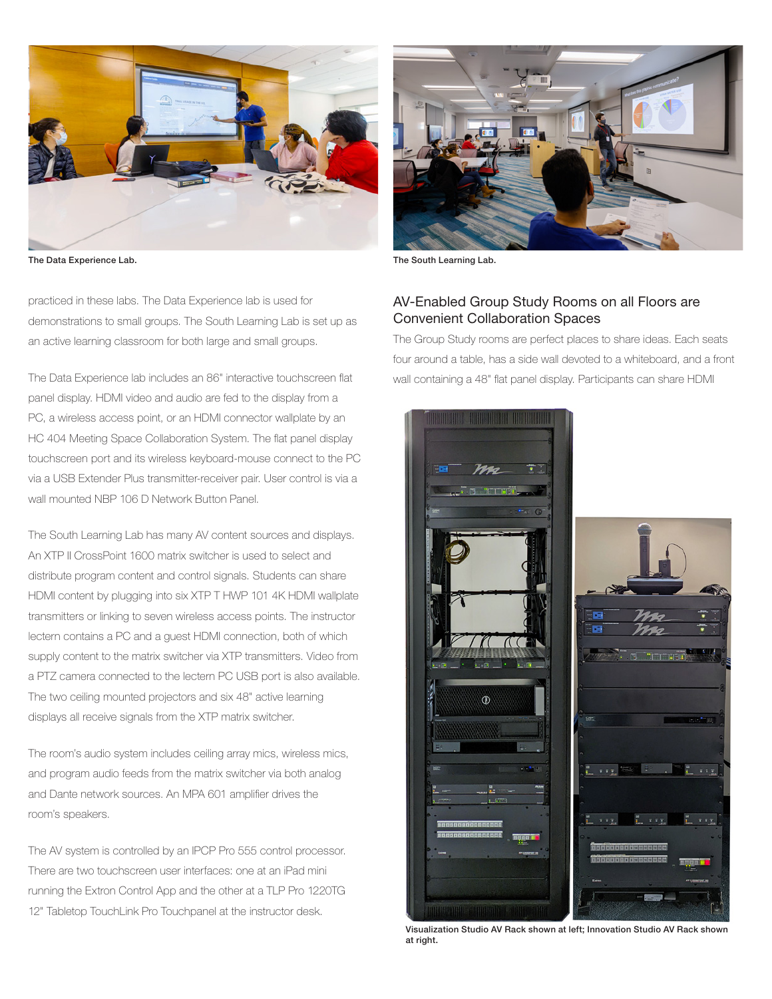

The Data Experience Lab. The South Learning Lab.

practiced in these labs. The Data Experience lab is used for demonstrations to small groups. The South Learning Lab is set up as an active learning classroom for both large and small groups.

The Data Experience lab includes an 86" interactive touchscreen flat panel display. HDMI video and audio are fed to the display from a PC, a wireless access point, or an HDMI connector wallplate by an HC 404 Meeting Space Collaboration System. The flat panel display touchscreen port and its wireless keyboard-mouse connect to the PC via a USB Extender Plus transmitter-receiver pair. User control is via a wall mounted NBP 106 D Network Button Panel.

The South Learning Lab has many AV content sources and displays. An XTP II CrossPoint 1600 matrix switcher is used to select and distribute program content and control signals. Students can share HDMI content by plugging into six XTP T HWP 101 4K HDMI wallplate transmitters or linking to seven wireless access points. The instructor lectern contains a PC and a guest HDMI connection, both of which supply content to the matrix switcher via XTP transmitters. Video from a PTZ camera connected to the lectern PC USB port is also available. The two ceiling mounted projectors and six 48" active learning displays all receive signals from the XTP matrix switcher.

The room's audio system includes ceiling array mics, wireless mics, and program audio feeds from the matrix switcher via both analog and Dante network sources. An MPA 601 amplifier drives the room's speakers.

The AV system is controlled by an IPCP Pro 555 control processor. There are two touchscreen user interfaces: one at an iPad mini running the Extron Control App and the other at a TLP Pro 1220TG 12" Tabletop TouchLink Pro Touchpanel at the instructor desk.



#### AV-Enabled Group Study Rooms on all Floors are Convenient Collaboration Spaces

The Group Study rooms are perfect places to share ideas. Each seats four around a table, has a side wall devoted to a whiteboard, and a front wall containing a 48" flat panel display. Participants can share HDMI



Visualization Studio AV Rack shown at left; Innovation Studio AV Rack shown at right.